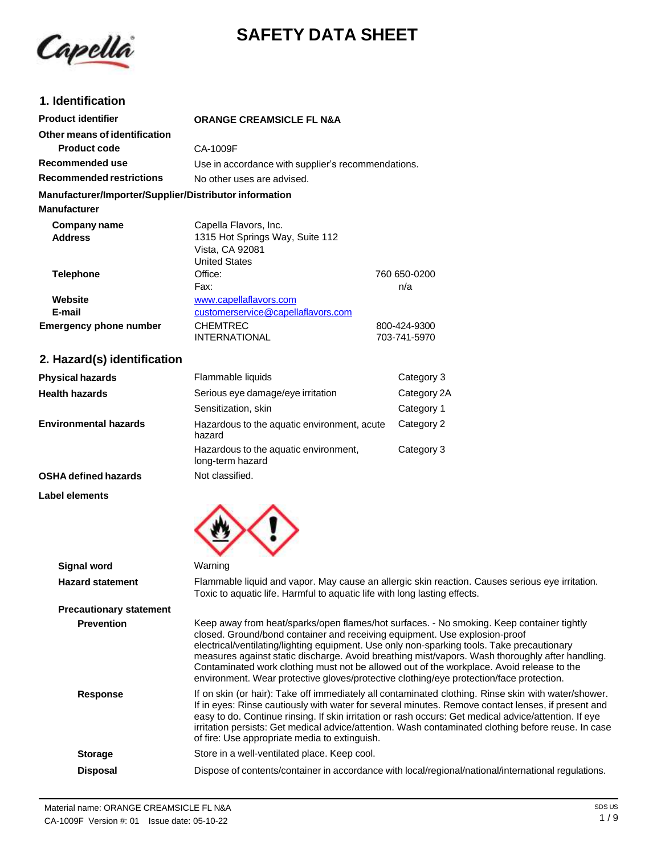



# **1. Identification**

| <b>Product identifier</b>                              | <b>ORANGE CREAMSICLE FL N&amp;A</b> |                                                    |  |
|--------------------------------------------------------|-------------------------------------|----------------------------------------------------|--|
| Other means of identification                          |                                     |                                                    |  |
| <b>Product code</b>                                    | CA-1009F                            |                                                    |  |
| Recommended use                                        |                                     | Use in accordance with supplier's recommendations. |  |
| <b>Recommended restrictions</b>                        | No other uses are advised.          |                                                    |  |
| Manufacturer/Importer/Supplier/Distributor information |                                     |                                                    |  |
| <b>Manufacturer</b>                                    |                                     |                                                    |  |
| Company name                                           | Capella Flavors, Inc.               |                                                    |  |
| <b>Address</b>                                         | 1315 Hot Springs Way, Suite 112     |                                                    |  |
|                                                        | Vista, CA 92081                     |                                                    |  |
|                                                        | <b>United States</b>                |                                                    |  |
| <b>Telephone</b>                                       | Office:                             | 760 650-0200                                       |  |
|                                                        | Fax:                                | n/a                                                |  |
| Website                                                | www.capellaflavors.com              |                                                    |  |
| E-mail                                                 | customerservice@capellaflavors.com  |                                                    |  |
| <b>Emergency phone number</b>                          | <b>CHEMTREC</b>                     | 800-424-9300                                       |  |
|                                                        | <b>INTERNATIONAL</b>                | 703-741-5970                                       |  |
|                                                        |                                     |                                                    |  |

# **2. Hazard(s) identification**

| <b>Physical hazards</b>      | Flammable liquids                                         | Category 3  |
|------------------------------|-----------------------------------------------------------|-------------|
| <b>Health hazards</b>        | Serious eye damage/eye irritation                         | Category 2A |
|                              | Sensitization, skin                                       | Category 1  |
| <b>Environmental hazards</b> | Hazardous to the aquatic environment, acute<br>hazard     | Category 2  |
|                              | Hazardous to the aquatic environment,<br>long-term hazard | Category 3  |
| <b>OSHA defined hazards</b>  | Not classified.                                           |             |

 $\mathbf{A} \qquad \mathbf{A}$ 

#### **Label elements**

| <b>Signal word</b>             | Warning                                                                                                                                                                                                                                                                                                                                                                                                                                                                                                                                                          |
|--------------------------------|------------------------------------------------------------------------------------------------------------------------------------------------------------------------------------------------------------------------------------------------------------------------------------------------------------------------------------------------------------------------------------------------------------------------------------------------------------------------------------------------------------------------------------------------------------------|
| <b>Hazard statement</b>        | Flammable liquid and vapor. May cause an allergic skin reaction. Causes serious eye irritation.<br>Toxic to aquatic life. Harmful to aquatic life with long lasting effects.                                                                                                                                                                                                                                                                                                                                                                                     |
| <b>Precautionary statement</b> |                                                                                                                                                                                                                                                                                                                                                                                                                                                                                                                                                                  |
| <b>Prevention</b>              | Keep away from heat/sparks/open flames/hot surfaces. - No smoking. Keep container tightly<br>closed. Ground/bond container and receiving equipment. Use explosion-proof<br>electrical/ventilating/lighting equipment. Use only non-sparking tools. Take precautionary<br>measures against static discharge. Avoid breathing mist/vapors. Wash thoroughly after handling.<br>Contaminated work clothing must not be allowed out of the workplace. Avoid release to the<br>environment. Wear protective gloves/protective clothing/eye protection/face protection. |
| <b>Response</b>                | If on skin (or hair): Take off immediately all contaminated clothing. Rinse skin with water/shower.<br>If in eyes: Rinse cautiously with water for several minutes. Remove contact lenses, if present and<br>easy to do. Continue rinsing. If skin irritation or rash occurs: Get medical advice/attention. If eye<br>irritation persists: Get medical advice/attention. Wash contaminated clothing before reuse. In case<br>of fire: Use appropriate media to extinguish.                                                                                       |
| <b>Storage</b>                 | Store in a well-ventilated place. Keep cool.                                                                                                                                                                                                                                                                                                                                                                                                                                                                                                                     |
| <b>Disposal</b>                | Dispose of contents/container in accordance with local/regional/national/international regulations.                                                                                                                                                                                                                                                                                                                                                                                                                                                              |
|                                |                                                                                                                                                                                                                                                                                                                                                                                                                                                                                                                                                                  |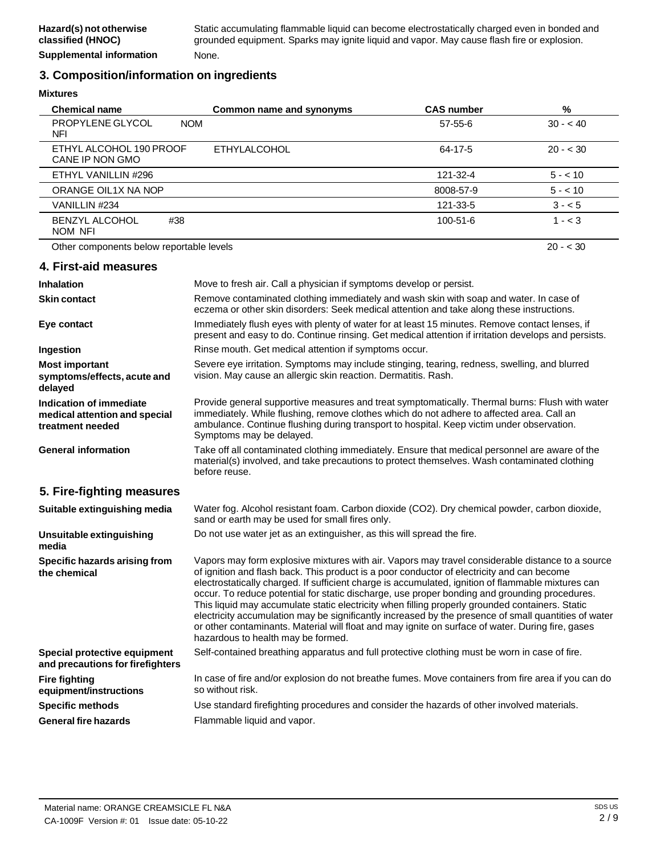# **3. Composition/information on ingredients**

### **Mixtures**

| <b>Chemical name</b>                                                         | Common name and synonyms                                                                                                                                                                                                                                                                                                                                                                                                                                                                                                                                                                                                                                                                                                                                    | <b>CAS number</b> | %         |
|------------------------------------------------------------------------------|-------------------------------------------------------------------------------------------------------------------------------------------------------------------------------------------------------------------------------------------------------------------------------------------------------------------------------------------------------------------------------------------------------------------------------------------------------------------------------------------------------------------------------------------------------------------------------------------------------------------------------------------------------------------------------------------------------------------------------------------------------------|-------------------|-----------|
| PROPYLENE GLYCOL<br>NFI                                                      | <b>NOM</b>                                                                                                                                                                                                                                                                                                                                                                                                                                                                                                                                                                                                                                                                                                                                                  | $57 - 55 - 6$     | $30 - 40$ |
| ETHYL ALCOHOL 190 PROOF<br>CANE IP NON GMO                                   | <b>ETHYLALCOHOL</b>                                                                                                                                                                                                                                                                                                                                                                                                                                                                                                                                                                                                                                                                                                                                         | 64-17-5           | $20 - 30$ |
| ETHYL VANILLIN #296                                                          |                                                                                                                                                                                                                                                                                                                                                                                                                                                                                                                                                                                                                                                                                                                                                             | 121-32-4          | $5 - 10$  |
| ORANGE OIL1X NA NOP                                                          |                                                                                                                                                                                                                                                                                                                                                                                                                                                                                                                                                                                                                                                                                                                                                             | 8008-57-9         | $5 - 10$  |
| VANILLIN #234                                                                |                                                                                                                                                                                                                                                                                                                                                                                                                                                                                                                                                                                                                                                                                                                                                             | 121-33-5          | $3 - 5$   |
| BENZYL ALCOHOL<br>#38<br><b>NOM NFI</b>                                      |                                                                                                                                                                                                                                                                                                                                                                                                                                                                                                                                                                                                                                                                                                                                                             | 100-51-6          | $1 - < 3$ |
| Other components below reportable levels                                     |                                                                                                                                                                                                                                                                                                                                                                                                                                                                                                                                                                                                                                                                                                                                                             |                   | $20 - 30$ |
| 4. First-aid measures                                                        |                                                                                                                                                                                                                                                                                                                                                                                                                                                                                                                                                                                                                                                                                                                                                             |                   |           |
| <b>Inhalation</b>                                                            | Move to fresh air. Call a physician if symptoms develop or persist.                                                                                                                                                                                                                                                                                                                                                                                                                                                                                                                                                                                                                                                                                         |                   |           |
| <b>Skin contact</b>                                                          | Remove contaminated clothing immediately and wash skin with soap and water. In case of<br>eczema or other skin disorders: Seek medical attention and take along these instructions.                                                                                                                                                                                                                                                                                                                                                                                                                                                                                                                                                                         |                   |           |
| Eye contact                                                                  | Immediately flush eyes with plenty of water for at least 15 minutes. Remove contact lenses, if<br>present and easy to do. Continue rinsing. Get medical attention if irritation develops and persists.                                                                                                                                                                                                                                                                                                                                                                                                                                                                                                                                                      |                   |           |
| Ingestion                                                                    | Rinse mouth. Get medical attention if symptoms occur.                                                                                                                                                                                                                                                                                                                                                                                                                                                                                                                                                                                                                                                                                                       |                   |           |
| <b>Most important</b><br>symptoms/effects, acute and<br>delayed              | Severe eye irritation. Symptoms may include stinging, tearing, redness, swelling, and blurred<br>vision. May cause an allergic skin reaction. Dermatitis. Rash.                                                                                                                                                                                                                                                                                                                                                                                                                                                                                                                                                                                             |                   |           |
| Indication of immediate<br>medical attention and special<br>treatment needed | Provide general supportive measures and treat symptomatically. Thermal burns: Flush with water<br>immediately. While flushing, remove clothes which do not adhere to affected area. Call an<br>ambulance. Continue flushing during transport to hospital. Keep victim under observation.<br>Symptoms may be delayed.                                                                                                                                                                                                                                                                                                                                                                                                                                        |                   |           |
| <b>General information</b>                                                   | Take off all contaminated clothing immediately. Ensure that medical personnel are aware of the<br>material(s) involved, and take precautions to protect themselves. Wash contaminated clothing<br>before reuse.                                                                                                                                                                                                                                                                                                                                                                                                                                                                                                                                             |                   |           |
| 5. Fire-fighting measures                                                    |                                                                                                                                                                                                                                                                                                                                                                                                                                                                                                                                                                                                                                                                                                                                                             |                   |           |
| Suitable extinguishing media                                                 | Water fog. Alcohol resistant foam. Carbon dioxide (CO2). Dry chemical powder, carbon dioxide,<br>sand or earth may be used for small fires only.                                                                                                                                                                                                                                                                                                                                                                                                                                                                                                                                                                                                            |                   |           |
| Unsuitable extinguishing<br>media                                            | Do not use water jet as an extinguisher, as this will spread the fire.                                                                                                                                                                                                                                                                                                                                                                                                                                                                                                                                                                                                                                                                                      |                   |           |
| Specific hazards arising from<br>the chemical                                | Vapors may form explosive mixtures with air. Vapors may travel considerable distance to a source<br>of ignition and flash back. This product is a poor conductor of electricity and can become<br>electrostatically charged. If sufficient charge is accumulated, ignition of flammable mixtures can<br>occur. To reduce potential for static discharge, use proper bonding and grounding procedures.<br>This liquid may accumulate static electricity when filling properly grounded containers. Static<br>electricity accumulation may be significantly increased by the presence of small quantities of water<br>or other contaminants. Material will float and may ignite on surface of water. During fire, gases<br>hazardous to health may be formed. |                   |           |
| Special protective equipment<br>and precautions for firefighters             | Self-contained breathing apparatus and full protective clothing must be worn in case of fire.                                                                                                                                                                                                                                                                                                                                                                                                                                                                                                                                                                                                                                                               |                   |           |
| <b>Fire fighting</b><br>equipment/instructions                               | In case of fire and/or explosion do not breathe fumes. Move containers from fire area if you can do<br>so without risk.                                                                                                                                                                                                                                                                                                                                                                                                                                                                                                                                                                                                                                     |                   |           |
| <b>Specific methods</b>                                                      | Use standard firefighting procedures and consider the hazards of other involved materials.                                                                                                                                                                                                                                                                                                                                                                                                                                                                                                                                                                                                                                                                  |                   |           |
| <b>General fire hazards</b>                                                  | Flammable liquid and vapor.                                                                                                                                                                                                                                                                                                                                                                                                                                                                                                                                                                                                                                                                                                                                 |                   |           |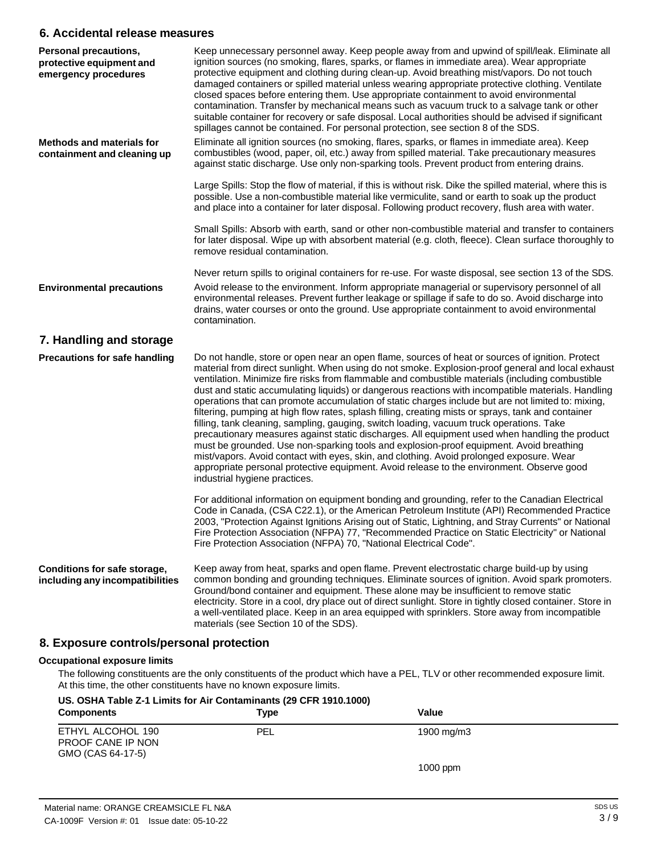### **6. Accidental release measures**

| <b>Personal precautions,</b><br>protective equipment and<br>emergency procedures | Keep unnecessary personnel away. Keep people away from and upwind of spill/leak. Eliminate all<br>ignition sources (no smoking, flares, sparks, or flames in immediate area). Wear appropriate<br>protective equipment and clothing during clean-up. Avoid breathing mist/vapors. Do not touch<br>damaged containers or spilled material unless wearing appropriate protective clothing. Ventilate<br>closed spaces before entering them. Use appropriate containment to avoid environmental<br>contamination. Transfer by mechanical means such as vacuum truck to a salvage tank or other<br>suitable container for recovery or safe disposal. Local authorities should be advised if significant<br>spillages cannot be contained. For personal protection, see section 8 of the SDS.                                                                                                                                                                                                                                                                                                                                                        |  |
|----------------------------------------------------------------------------------|-------------------------------------------------------------------------------------------------------------------------------------------------------------------------------------------------------------------------------------------------------------------------------------------------------------------------------------------------------------------------------------------------------------------------------------------------------------------------------------------------------------------------------------------------------------------------------------------------------------------------------------------------------------------------------------------------------------------------------------------------------------------------------------------------------------------------------------------------------------------------------------------------------------------------------------------------------------------------------------------------------------------------------------------------------------------------------------------------------------------------------------------------|--|
| <b>Methods and materials for</b><br>containment and cleaning up                  | Eliminate all ignition sources (no smoking, flares, sparks, or flames in immediate area). Keep<br>combustibles (wood, paper, oil, etc.) away from spilled material. Take precautionary measures<br>against static discharge. Use only non-sparking tools. Prevent product from entering drains.                                                                                                                                                                                                                                                                                                                                                                                                                                                                                                                                                                                                                                                                                                                                                                                                                                                 |  |
|                                                                                  | Large Spills: Stop the flow of material, if this is without risk. Dike the spilled material, where this is<br>possible. Use a non-combustible material like vermiculite, sand or earth to soak up the product<br>and place into a container for later disposal. Following product recovery, flush area with water.                                                                                                                                                                                                                                                                                                                                                                                                                                                                                                                                                                                                                                                                                                                                                                                                                              |  |
|                                                                                  | Small Spills: Absorb with earth, sand or other non-combustible material and transfer to containers<br>for later disposal. Wipe up with absorbent material (e.g. cloth, fleece). Clean surface thoroughly to<br>remove residual contamination.                                                                                                                                                                                                                                                                                                                                                                                                                                                                                                                                                                                                                                                                                                                                                                                                                                                                                                   |  |
|                                                                                  | Never return spills to original containers for re-use. For waste disposal, see section 13 of the SDS.                                                                                                                                                                                                                                                                                                                                                                                                                                                                                                                                                                                                                                                                                                                                                                                                                                                                                                                                                                                                                                           |  |
| <b>Environmental precautions</b>                                                 | Avoid release to the environment. Inform appropriate managerial or supervisory personnel of all<br>environmental releases. Prevent further leakage or spillage if safe to do so. Avoid discharge into<br>drains, water courses or onto the ground. Use appropriate containment to avoid environmental<br>contamination.                                                                                                                                                                                                                                                                                                                                                                                                                                                                                                                                                                                                                                                                                                                                                                                                                         |  |
| 7. Handling and storage                                                          |                                                                                                                                                                                                                                                                                                                                                                                                                                                                                                                                                                                                                                                                                                                                                                                                                                                                                                                                                                                                                                                                                                                                                 |  |
| <b>Precautions for safe handling</b>                                             | Do not handle, store or open near an open flame, sources of heat or sources of ignition. Protect<br>material from direct sunlight. When using do not smoke. Explosion-proof general and local exhaust<br>ventilation. Minimize fire risks from flammable and combustible materials (including combustible<br>dust and static accumulating liquids) or dangerous reactions with incompatible materials. Handling<br>operations that can promote accumulation of static charges include but are not limited to: mixing,<br>filtering, pumping at high flow rates, splash filling, creating mists or sprays, tank and container<br>filling, tank cleaning, sampling, gauging, switch loading, vacuum truck operations. Take<br>precautionary measures against static discharges. All equipment used when handling the product<br>must be grounded. Use non-sparking tools and explosion-proof equipment. Avoid breathing<br>mist/vapors. Avoid contact with eyes, skin, and clothing. Avoid prolonged exposure. Wear<br>appropriate personal protective equipment. Avoid release to the environment. Observe good<br>industrial hygiene practices. |  |
|                                                                                  | For additional information on equipment bonding and grounding, refer to the Canadian Electrical<br>Code in Canada, (CSA C22.1), or the American Petroleum Institute (API) Recommended Practice<br>2003, "Protection Against Ignitions Arising out of Static, Lightning, and Stray Currents" or National<br>Fire Protection Association (NFPA) 77, "Recommended Practice on Static Electricity" or National<br>Fire Protection Association (NFPA) 70, "National Electrical Code".                                                                                                                                                                                                                                                                                                                                                                                                                                                                                                                                                                                                                                                                |  |
| Conditions for safe storage,<br>including any incompatibilities                  | Keep away from heat, sparks and open flame. Prevent electrostatic charge build-up by using<br>common bonding and grounding techniques. Eliminate sources of ignition. Avoid spark promoters.<br>Ground/bond container and equipment. These alone may be insufficient to remove static<br>electricity. Store in a cool, dry place out of direct sunlight. Store in tightly closed container. Store in<br>a well-ventilated place. Keep in an area equipped with sprinklers. Store away from incompatible<br>materials (see Section 10 of the SDS).                                                                                                                                                                                                                                                                                                                                                                                                                                                                                                                                                                                               |  |
| 8. Exposure controls/personal protection                                         |                                                                                                                                                                                                                                                                                                                                                                                                                                                                                                                                                                                                                                                                                                                                                                                                                                                                                                                                                                                                                                                                                                                                                 |  |
| <b>Occupational exposure limits</b>                                              |                                                                                                                                                                                                                                                                                                                                                                                                                                                                                                                                                                                                                                                                                                                                                                                                                                                                                                                                                                                                                                                                                                                                                 |  |
|                                                                                  | The following constituents are the only constituents of the product which have a PEL, TLV or other recommended exposure limit.<br>At this time, the other constituents have no known exposure limits.                                                                                                                                                                                                                                                                                                                                                                                                                                                                                                                                                                                                                                                                                                                                                                                                                                                                                                                                           |  |
|                                                                                  | US. OSHA Table Z-1 Limits for Air Contaminants (29 CFR 1910.1000)                                                                                                                                                                                                                                                                                                                                                                                                                                                                                                                                                                                                                                                                                                                                                                                                                                                                                                                                                                                                                                                                               |  |

| <b>Components</b>                                           | Type | Value      |  |
|-------------------------------------------------------------|------|------------|--|
| ETHYL ALCOHOL 190<br>PROOF CANE IP NON<br>GMO (CAS 64-17-5) | PEL  | 1900 mg/m3 |  |
|                                                             |      | $1000$ ppm |  |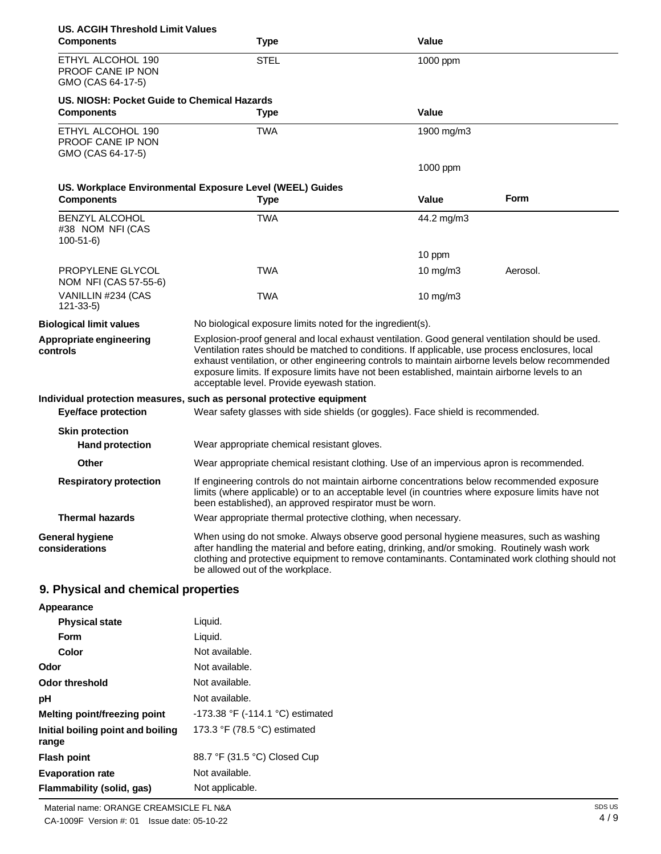| <b>US. ACGIH Threshold Limit Values</b>                     |                                                                                                                                                                                                                                                                                                                                                                                                                                                       |            |             |
|-------------------------------------------------------------|-------------------------------------------------------------------------------------------------------------------------------------------------------------------------------------------------------------------------------------------------------------------------------------------------------------------------------------------------------------------------------------------------------------------------------------------------------|------------|-------------|
| <b>Components</b>                                           | <b>Type</b>                                                                                                                                                                                                                                                                                                                                                                                                                                           | Value      |             |
| ETHYL ALCOHOL 190<br>PROOF CANE IP NON<br>GMO (CAS 64-17-5) | <b>STEL</b>                                                                                                                                                                                                                                                                                                                                                                                                                                           | 1000 ppm   |             |
| US. NIOSH: Pocket Guide to Chemical Hazards                 |                                                                                                                                                                                                                                                                                                                                                                                                                                                       |            |             |
| <b>Components</b>                                           | <b>Type</b>                                                                                                                                                                                                                                                                                                                                                                                                                                           | Value      |             |
| ETHYL ALCOHOL 190<br>PROOF CANE IP NON<br>GMO (CAS 64-17-5) | <b>TWA</b>                                                                                                                                                                                                                                                                                                                                                                                                                                            | 1900 mg/m3 |             |
|                                                             |                                                                                                                                                                                                                                                                                                                                                                                                                                                       | 1000 ppm   |             |
|                                                             | US. Workplace Environmental Exposure Level (WEEL) Guides                                                                                                                                                                                                                                                                                                                                                                                              |            |             |
| <b>Components</b>                                           | <b>Type</b>                                                                                                                                                                                                                                                                                                                                                                                                                                           | Value      | <b>Form</b> |
| <b>BENZYL ALCOHOL</b><br>#38 NOM NFI (CAS<br>$100-51-6$     | TWA                                                                                                                                                                                                                                                                                                                                                                                                                                                   | 44.2 mg/m3 |             |
|                                                             |                                                                                                                                                                                                                                                                                                                                                                                                                                                       | 10 ppm     |             |
| PROPYLENE GLYCOL<br>NOM NFI (CAS 57-55-6)                   | <b>TWA</b>                                                                                                                                                                                                                                                                                                                                                                                                                                            | 10 $mg/m3$ | Aerosol.    |
| VANILLIN #234 (CAS<br>$121 - 33 - 5$                        | TWA                                                                                                                                                                                                                                                                                                                                                                                                                                                   | 10 mg/m3   |             |
| <b>Biological limit values</b>                              | No biological exposure limits noted for the ingredient(s).                                                                                                                                                                                                                                                                                                                                                                                            |            |             |
| Appropriate engineering<br>controls                         | Explosion-proof general and local exhaust ventilation. Good general ventilation should be used.<br>Ventilation rates should be matched to conditions. If applicable, use process enclosures, local<br>exhaust ventilation, or other engineering controls to maintain airborne levels below recommended<br>exposure limits. If exposure limits have not been established, maintain airborne levels to an<br>acceptable level. Provide eyewash station. |            |             |
|                                                             | Individual protection measures, such as personal protective equipment                                                                                                                                                                                                                                                                                                                                                                                 |            |             |
| <b>Eye/face protection</b>                                  | Wear safety glasses with side shields (or goggles). Face shield is recommended.                                                                                                                                                                                                                                                                                                                                                                       |            |             |
| <b>Skin protection</b>                                      |                                                                                                                                                                                                                                                                                                                                                                                                                                                       |            |             |
| <b>Hand protection</b>                                      | Wear appropriate chemical resistant gloves.                                                                                                                                                                                                                                                                                                                                                                                                           |            |             |
| Other                                                       | Wear appropriate chemical resistant clothing. Use of an impervious apron is recommended.                                                                                                                                                                                                                                                                                                                                                              |            |             |
| <b>Respiratory protection</b>                               | If engineering controls do not maintain airborne concentrations below recommended exposure<br>limits (where applicable) or to an acceptable level (in countries where exposure limits have not<br>been established), an approved respirator must be worn.                                                                                                                                                                                             |            |             |
| <b>Thermal hazards</b>                                      | Wear appropriate thermal protective clothing, when necessary.                                                                                                                                                                                                                                                                                                                                                                                         |            |             |
| <b>General hygiene</b><br>considerations                    | When using do not smoke. Always observe good personal hygiene measures, such as washing<br>after handling the material and before eating, drinking, and/or smoking. Routinely wash work<br>clothing and protective equipment to remove contaminants. Contaminated work clothing should not<br>be allowed out of the workplace.                                                                                                                        |            |             |
| 9. Physical and chemical properties                         |                                                                                                                                                                                                                                                                                                                                                                                                                                                       |            |             |
| Appearance                                                  |                                                                                                                                                                                                                                                                                                                                                                                                                                                       |            |             |
| <b>Physical state</b>                                       | Liquid.                                                                                                                                                                                                                                                                                                                                                                                                                                               |            |             |
| Form                                                        | Liquid.                                                                                                                                                                                                                                                                                                                                                                                                                                               |            |             |
| Color                                                       | Not available.                                                                                                                                                                                                                                                                                                                                                                                                                                        |            |             |
| Odor                                                        | Not available.                                                                                                                                                                                                                                                                                                                                                                                                                                        |            |             |

| <b>Odor threshold</b>             | Not available.                                 |
|-----------------------------------|------------------------------------------------|
| рH                                | Not available.                                 |
| Melting point/freezing point      | -173.38 °F (-114.1 °C) estimated               |
| Initial boiling point and boiling | 173.3 $\degree$ F (78.5 $\degree$ C) estimated |
| range                             |                                                |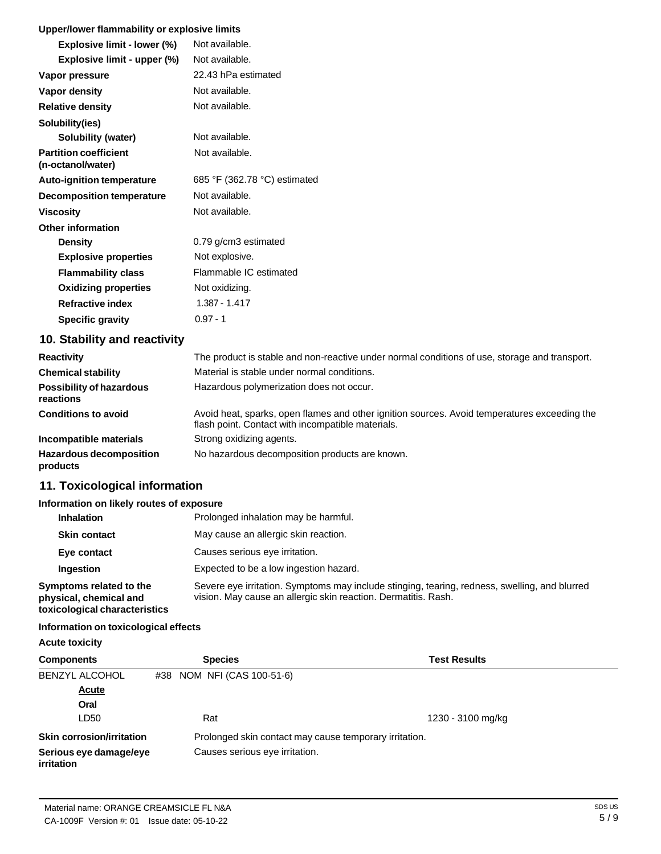### **Upper/lower flammability or explosive limits**

| opponower nammability or explosive immes          |                              |
|---------------------------------------------------|------------------------------|
| Explosive limit - lower (%)                       | Not available.               |
| Explosive limit - upper (%)                       | Not available.               |
| Vapor pressure                                    | 22.43 hPa estimated          |
| Vapor density                                     | Not available.               |
| <b>Relative density</b>                           | Not available.               |
| Solubility(ies)                                   |                              |
| Solubility (water)                                | Not available.               |
| <b>Partition coefficient</b><br>(n-octanol/water) | Not available.               |
| <b>Auto-ignition temperature</b>                  | 685 °F (362.78 °C) estimated |
| <b>Decomposition temperature</b>                  | Not available.               |
| <b>Viscosity</b>                                  | Not available.               |
| Other information                                 |                              |
| <b>Density</b>                                    | 0.79 g/cm3 estimated         |
| <b>Explosive properties</b>                       | Not explosive.               |
| <b>Flammability class</b>                         | Flammable IC estimated       |
| <b>Oxidizing properties</b>                       | Not oxidizing.               |
| Refractive index                                  | $1.387 - 1.417$              |
| <b>Specific gravity</b>                           | $0.97 - 1$                   |

# **10. Stability and reactivity**

| <b>Reactivity</b>                            | The product is stable and non-reactive under normal conditions of use, storage and transport.                                                     |
|----------------------------------------------|---------------------------------------------------------------------------------------------------------------------------------------------------|
| <b>Chemical stability</b>                    | Material is stable under normal conditions.                                                                                                       |
| <b>Possibility of hazardous</b><br>reactions | Hazardous polymerization does not occur.                                                                                                          |
| <b>Conditions to avoid</b>                   | Avoid heat, sparks, open flames and other ignition sources. Avoid temperatures exceeding the<br>flash point. Contact with incompatible materials. |
| Incompatible materials                       | Strong oxidizing agents.                                                                                                                          |
| <b>Hazardous decomposition</b><br>products   | No hazardous decomposition products are known.                                                                                                    |

# **11. Toxicological information**

### **Information on likely routes of exposure**

| <b>Inhalation</b>                                                                  | Prolonged inhalation may be harmful.                                                                                                                            |
|------------------------------------------------------------------------------------|-----------------------------------------------------------------------------------------------------------------------------------------------------------------|
| <b>Skin contact</b>                                                                | May cause an allergic skin reaction.                                                                                                                            |
| Eye contact                                                                        | Causes serious eye irritation.                                                                                                                                  |
| Ingestion                                                                          | Expected to be a low ingestion hazard.                                                                                                                          |
| Symptoms related to the<br>physical, chemical and<br>toxicological characteristics | Severe eye irritation. Symptoms may include stinging, tearing, redness, swelling, and blurred<br>vision. May cause an allergic skin reaction. Dermatitis. Rash. |

### **Information on toxicological effects**

## **Acute toxicity**

| <b>Components</b>                    | <b>Species</b>                                         | <b>Test Results</b> |
|--------------------------------------|--------------------------------------------------------|---------------------|
| <b>BENZYL ALCOHOL</b>                | #38 NOM NFI (CAS 100-51-6)                             |                     |
| <b>Acute</b>                         |                                                        |                     |
| Oral                                 |                                                        |                     |
| LD50                                 | Rat                                                    | 1230 - 3100 mg/kg   |
| <b>Skin corrosion/irritation</b>     | Prolonged skin contact may cause temporary irritation. |                     |
| Serious eye damage/eye<br>irritation | Causes serious eye irritation.                         |                     |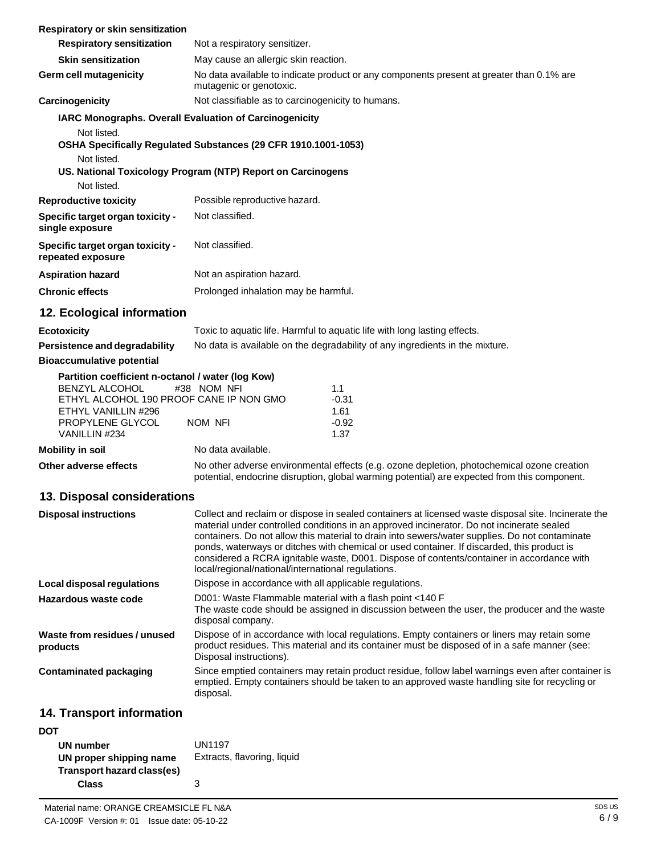| Respiratory or skin sensitization                                                |                                                                                                                                                                                                                                                                                                                                                                                                                                                                                                                                                     |                                                                                                                                                                                             |
|----------------------------------------------------------------------------------|-----------------------------------------------------------------------------------------------------------------------------------------------------------------------------------------------------------------------------------------------------------------------------------------------------------------------------------------------------------------------------------------------------------------------------------------------------------------------------------------------------------------------------------------------------|---------------------------------------------------------------------------------------------------------------------------------------------------------------------------------------------|
| <b>Respiratory sensitization</b>                                                 | Not a respiratory sensitizer.                                                                                                                                                                                                                                                                                                                                                                                                                                                                                                                       |                                                                                                                                                                                             |
| <b>Skin sensitization</b>                                                        | May cause an allergic skin reaction.                                                                                                                                                                                                                                                                                                                                                                                                                                                                                                                |                                                                                                                                                                                             |
| <b>Germ cell mutagenicity</b>                                                    | mutagenic or genotoxic.                                                                                                                                                                                                                                                                                                                                                                                                                                                                                                                             | No data available to indicate product or any components present at greater than 0.1% are                                                                                                    |
| Carcinogenicity                                                                  | Not classifiable as to carcinogenicity to humans.                                                                                                                                                                                                                                                                                                                                                                                                                                                                                                   |                                                                                                                                                                                             |
|                                                                                  | IARC Monographs. Overall Evaluation of Carcinogenicity                                                                                                                                                                                                                                                                                                                                                                                                                                                                                              |                                                                                                                                                                                             |
| Not listed.                                                                      |                                                                                                                                                                                                                                                                                                                                                                                                                                                                                                                                                     |                                                                                                                                                                                             |
|                                                                                  | OSHA Specifically Regulated Substances (29 CFR 1910.1001-1053)                                                                                                                                                                                                                                                                                                                                                                                                                                                                                      |                                                                                                                                                                                             |
| Not listed.                                                                      | US. National Toxicology Program (NTP) Report on Carcinogens                                                                                                                                                                                                                                                                                                                                                                                                                                                                                         |                                                                                                                                                                                             |
| Not listed.                                                                      |                                                                                                                                                                                                                                                                                                                                                                                                                                                                                                                                                     |                                                                                                                                                                                             |
| <b>Reproductive toxicity</b>                                                     | Possible reproductive hazard.                                                                                                                                                                                                                                                                                                                                                                                                                                                                                                                       |                                                                                                                                                                                             |
| Specific target organ toxicity -<br>single exposure                              | Not classified.                                                                                                                                                                                                                                                                                                                                                                                                                                                                                                                                     |                                                                                                                                                                                             |
| Specific target organ toxicity -<br>repeated exposure                            | Not classified.                                                                                                                                                                                                                                                                                                                                                                                                                                                                                                                                     |                                                                                                                                                                                             |
| <b>Aspiration hazard</b>                                                         | Not an aspiration hazard.                                                                                                                                                                                                                                                                                                                                                                                                                                                                                                                           |                                                                                                                                                                                             |
| <b>Chronic effects</b>                                                           | Prolonged inhalation may be harmful.                                                                                                                                                                                                                                                                                                                                                                                                                                                                                                                |                                                                                                                                                                                             |
| 12. Ecological information                                                       |                                                                                                                                                                                                                                                                                                                                                                                                                                                                                                                                                     |                                                                                                                                                                                             |
| <b>Ecotoxicity</b>                                                               |                                                                                                                                                                                                                                                                                                                                                                                                                                                                                                                                                     | Toxic to aquatic life. Harmful to aquatic life with long lasting effects.                                                                                                                   |
| Persistence and degradability                                                    |                                                                                                                                                                                                                                                                                                                                                                                                                                                                                                                                                     | No data is available on the degradability of any ingredients in the mixture.                                                                                                                |
| <b>Bioaccumulative potential</b>                                                 |                                                                                                                                                                                                                                                                                                                                                                                                                                                                                                                                                     |                                                                                                                                                                                             |
| Partition coefficient n-octanol / water (log Kow)                                |                                                                                                                                                                                                                                                                                                                                                                                                                                                                                                                                                     |                                                                                                                                                                                             |
| BENZYL ALCOHOL<br>ETHYL ALCOHOL 190 PROOF CANE IP NON GMO<br>ETHYL VANILLIN #296 | #38 NOM NFI                                                                                                                                                                                                                                                                                                                                                                                                                                                                                                                                         | 1.1<br>$-0.31$<br>1.61                                                                                                                                                                      |
| PROPYLENE GLYCOL<br>VANILLIN #234                                                | NOM NFI                                                                                                                                                                                                                                                                                                                                                                                                                                                                                                                                             | $-0.92$<br>1.37                                                                                                                                                                             |
| <b>Mobility in soil</b>                                                          | No data available.                                                                                                                                                                                                                                                                                                                                                                                                                                                                                                                                  |                                                                                                                                                                                             |
| Other adverse effects                                                            |                                                                                                                                                                                                                                                                                                                                                                                                                                                                                                                                                     | No other adverse environmental effects (e.g. ozone depletion, photochemical ozone creation<br>potential, endocrine disruption, global warming potential) are expected from this component.  |
| 13. Disposal considerations                                                      |                                                                                                                                                                                                                                                                                                                                                                                                                                                                                                                                                     |                                                                                                                                                                                             |
| <b>Disposal instructions</b>                                                     | Collect and reclaim or dispose in sealed containers at licensed waste disposal site. Incinerate the<br>material under controlled conditions in an approved incinerator. Do not incinerate sealed<br>containers. Do not allow this material to drain into sewers/water supplies. Do not contaminate<br>ponds, waterways or ditches with chemical or used container. If discarded, this product is<br>considered a RCRA ignitable waste, D001. Dispose of contents/container in accordance with<br>local/regional/national/international regulations. |                                                                                                                                                                                             |
| Local disposal regulations                                                       | Dispose in accordance with all applicable regulations.                                                                                                                                                                                                                                                                                                                                                                                                                                                                                              |                                                                                                                                                                                             |
| <b>Hazardous waste code</b>                                                      | D001: Waste Flammable material with a flash point <140 F<br>The waste code should be assigned in discussion between the user, the producer and the waste<br>disposal company.                                                                                                                                                                                                                                                                                                                                                                       |                                                                                                                                                                                             |
| Waste from residues / unused<br>products                                         | Disposal instructions).                                                                                                                                                                                                                                                                                                                                                                                                                                                                                                                             | Dispose of in accordance with local regulations. Empty containers or liners may retain some<br>product residues. This material and its container must be disposed of in a safe manner (see: |
| <b>Contaminated packaging</b>                                                    | Since emptied containers may retain product residue, follow label warnings even after container is<br>emptied. Empty containers should be taken to an approved waste handling site for recycling or<br>disposal.                                                                                                                                                                                                                                                                                                                                    |                                                                                                                                                                                             |
| 14. Transport information                                                        |                                                                                                                                                                                                                                                                                                                                                                                                                                                                                                                                                     |                                                                                                                                                                                             |
| <b>DOT</b>                                                                       |                                                                                                                                                                                                                                                                                                                                                                                                                                                                                                                                                     |                                                                                                                                                                                             |
| UN number                                                                        | <b>UN1197</b>                                                                                                                                                                                                                                                                                                                                                                                                                                                                                                                                       |                                                                                                                                                                                             |
|                                                                                  | $Evt root of the variable E0$                                                                                                                                                                                                                                                                                                                                                                                                                                                                                                                       |                                                                                                                                                                                             |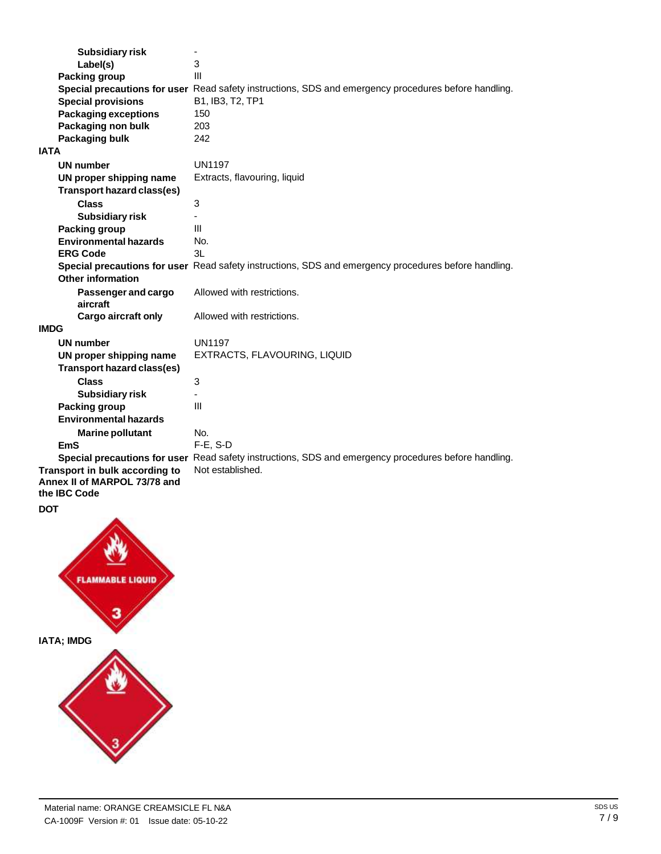| <b>Subsidiary risk</b>                                                         | $\overline{\phantom{a}}$                                                                             |
|--------------------------------------------------------------------------------|------------------------------------------------------------------------------------------------------|
| Label(s)                                                                       | 3                                                                                                    |
| Packing group                                                                  | III                                                                                                  |
|                                                                                | Special precautions for user Read safety instructions, SDS and emergency procedures before handling. |
| <b>Special provisions</b>                                                      | B1, IB3, T2, TP1                                                                                     |
| <b>Packaging exceptions</b>                                                    | 150                                                                                                  |
| Packaging non bulk                                                             | 203                                                                                                  |
| Packaging bulk                                                                 | 242                                                                                                  |
| <b>IATA</b>                                                                    |                                                                                                      |
| <b>UN number</b>                                                               | <b>UN1197</b>                                                                                        |
| UN proper shipping name                                                        | Extracts, flavouring, liquid                                                                         |
| <b>Transport hazard class(es)</b>                                              |                                                                                                      |
| <b>Class</b>                                                                   | 3                                                                                                    |
| <b>Subsidiary risk</b>                                                         |                                                                                                      |
| Packing group                                                                  | III                                                                                                  |
| <b>Environmental hazards</b>                                                   | No.                                                                                                  |
| <b>ERG Code</b>                                                                | 31                                                                                                   |
|                                                                                | Special precautions for user Read safety instructions, SDS and emergency procedures before handling. |
| <b>Other information</b>                                                       |                                                                                                      |
| Passenger and cargo<br>aircraft                                                | Allowed with restrictions.                                                                           |
| Cargo aircraft only                                                            | Allowed with restrictions.                                                                           |
| <b>IMDG</b>                                                                    |                                                                                                      |
| <b>UN number</b>                                                               | <b>UN1197</b>                                                                                        |
| UN proper shipping name                                                        | EXTRACTS, FLAVOURING, LIQUID                                                                         |
| <b>Transport hazard class(es)</b>                                              |                                                                                                      |
| <b>Class</b>                                                                   | 3                                                                                                    |
| <b>Subsidiary risk</b>                                                         |                                                                                                      |
| Packing group                                                                  | III                                                                                                  |
| <b>Environmental hazards</b>                                                   |                                                                                                      |
| <b>Marine pollutant</b>                                                        | No.                                                                                                  |
| <b>EmS</b>                                                                     | $F-E. S-D$                                                                                           |
|                                                                                | Special precautions for user Read safety instructions, SDS and emergency procedures before handling. |
| Transport in bulk according to<br>Annex II of MARPOL 73/78 and<br>the IBC Code | Not established.                                                                                     |

### **DOT**

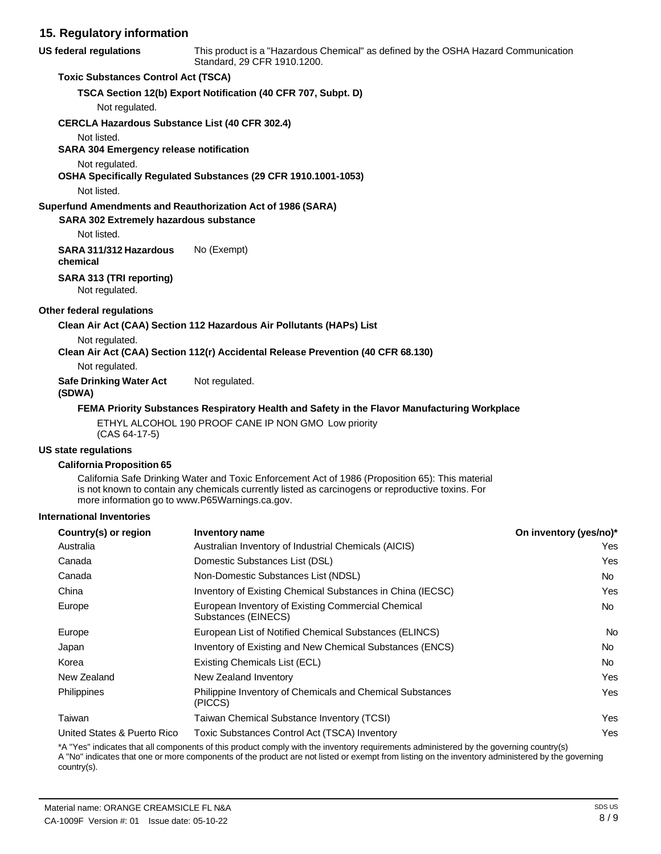### **15. Regulatory information**

| US federal regulations | This product is a "Hazardous Chemical" as defined by the OSHA Hazard Communication |
|------------------------|------------------------------------------------------------------------------------|
|                        | Standard, 29 CFR 1910.1200.                                                        |

### **Toxic Substances Control Act (TSCA)**

**TSCA Section 12(b) Export Notification (40 CFR 707, Subpt. D)**

Not regulated.

**CERCLA Hazardous Substance List (40 CFR 302.4)**

Not listed.

**SARA 304 Emergency release notification**

Not regulated.

**OSHA Specifically Regulated Substances (29 CFR 1910.1001-1053)**

Not listed.

### **Superfund Amendments and Reauthorization Act of 1986 (SARA)**

**SARA 302 Extremely hazardous substance**

Not listed.

**SARA 311/312 Hazardous chemical** No (Exempt)

## **SARA 313 (TRI reporting)**

Not regulated.

### **Other federal regulations**

### **Clean Air Act (CAA) Section 112 Hazardous Air Pollutants (HAPs) List**

Not regulated.

**Clean Air Act (CAA) Section 112(r) Accidental Release Prevention (40 CFR 68.130)**

Not regulated.

**Safe Drinking Water Act** Not regulated.

### **(SDWA)**

### **FEMA Priority Substances Respiratory Health and Safety in the Flavor Manufacturing Workplace**

ETHYL ALCOHOL 190 PROOF CANE IP NON GMO Low priority (CAS 64-17-5)

#### **US state regulations**

### **California Proposition 65**

California Safe Drinking Water and Toxic Enforcement Act of 1986 (Proposition 65): This material is not known to contain any chemicals currently listed as carcinogens or reproductive toxins. For more information go to [www.P65Warnings.ca.gov.](http://www.p65warnings.ca.gov/)

### **International Inventories**

| Country(s) or region        | Inventory name                                                              | On inventory (yes/no)* |
|-----------------------------|-----------------------------------------------------------------------------|------------------------|
| Australia                   | Australian Inventory of Industrial Chemicals (AICIS)                        | Yes                    |
| Canada                      | Domestic Substances List (DSL)                                              | Yes                    |
| Canada                      | Non-Domestic Substances List (NDSL)                                         | No.                    |
| China                       | Inventory of Existing Chemical Substances in China (IECSC)                  | Yes                    |
| Europe                      | European Inventory of Existing Commercial Chemical<br>Substances (EINECS)   | No.                    |
| Europe                      | European List of Notified Chemical Substances (ELINCS)                      | No.                    |
| Japan                       | Inventory of Existing and New Chemical Substances (ENCS)                    | No.                    |
| Korea                       | Existing Chemicals List (ECL)                                               | <b>No</b>              |
| New Zealand                 | New Zealand Inventory                                                       | Yes                    |
| Philippines                 | <b>Philippine Inventory of Chemicals and Chemical Substances</b><br>(PICCS) | Yes                    |
| Taiwan                      | Taiwan Chemical Substance Inventory (TCSI)                                  | Yes                    |
| United States & Puerto Rico | Toxic Substances Control Act (TSCA) Inventory                               | Yes                    |

\*A "Yes" indicates that all components of this product comply with the inventory requirements administered by the governing country(s)

A "No" indicates that one or more components of the product are not listed or exempt from listing on the inventory administered by the governing country(s).